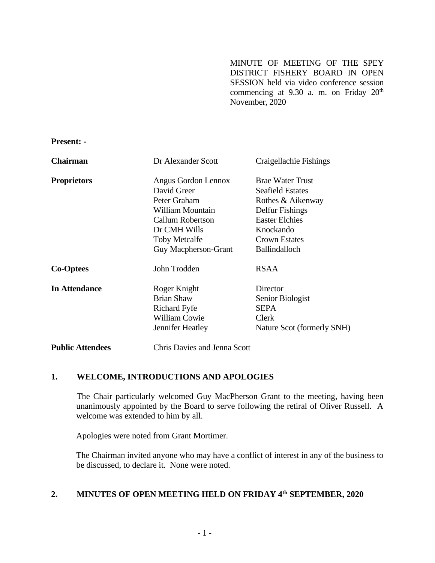MINUTE OF MEETING OF THE SPEY DISTRICT FISHERY BOARD IN OPEN SESSION held via video conference session commencing at 9.30 a.m. on Friday 20<sup>th</sup> November, 2020

**Present: -**

| <b>Chairman</b>      | Dr Alexander Scott          | Craigellachie Fishings     |
|----------------------|-----------------------------|----------------------------|
| <b>Proprietors</b>   | Angus Gordon Lennox         | <b>Brae Water Trust</b>    |
|                      | David Greer                 | <b>Seafield Estates</b>    |
|                      | Peter Graham                | Rothes & Aikenway          |
|                      | William Mountain            | Delfur Fishings            |
|                      | Callum Robertson            | <b>Easter Elchies</b>      |
|                      | Dr CMH Wills                | Knockando                  |
|                      | <b>Toby Metcalfe</b>        | <b>Crown Estates</b>       |
|                      | <b>Guy Macpherson-Grant</b> | <b>Ballindalloch</b>       |
| <b>Co-Optees</b>     | John Trodden                | <b>RSAA</b>                |
| <b>In Attendance</b> | Roger Knight                | Director                   |
|                      | <b>Brian Shaw</b>           | Senior Biologist           |
|                      | Richard Fyfe                | <b>SEPA</b>                |
|                      | <b>William Cowie</b>        | Clerk                      |
|                      | Jennifer Heatley            | Nature Scot (formerly SNH) |
|                      |                             |                            |

# **Public Attendees** Chris Davies and Jenna Scott

## **1. WELCOME, INTRODUCTIONS AND APOLOGIES**

The Chair particularly welcomed Guy MacPherson Grant to the meeting, having been unanimously appointed by the Board to serve following the retiral of Oliver Russell. A welcome was extended to him by all.

Apologies were noted from Grant Mortimer.

The Chairman invited anyone who may have a conflict of interest in any of the business to be discussed, to declare it. None were noted.

#### **2. MINUTES OF OPEN MEETING HELD ON FRIDAY 4 th SEPTEMBER, 2020**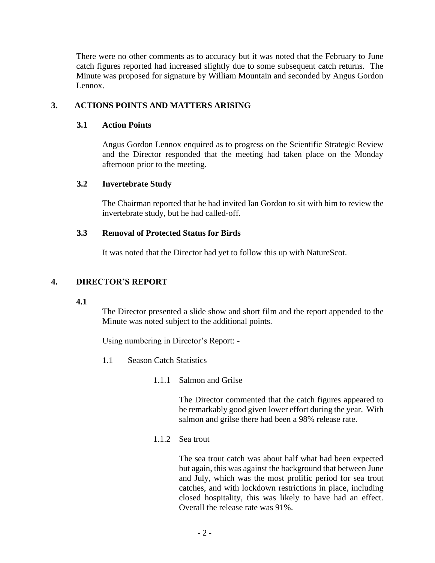There were no other comments as to accuracy but it was noted that the February to June catch figures reported had increased slightly due to some subsequent catch returns. The Minute was proposed for signature by William Mountain and seconded by Angus Gordon Lennox.

# **3. ACTIONS POINTS AND MATTERS ARISING**

## **3.1 Action Points**

Angus Gordon Lennox enquired as to progress on the Scientific Strategic Review and the Director responded that the meeting had taken place on the Monday afternoon prior to the meeting.

## **3.2 Invertebrate Study**

The Chairman reported that he had invited Ian Gordon to sit with him to review the invertebrate study, but he had called-off.

## **3.3 Removal of Protected Status for Birds**

It was noted that the Director had yet to follow this up with NatureScot.

## **4. DIRECTOR'S REPORT**

#### **4.1**

The Director presented a slide show and short film and the report appended to the Minute was noted subject to the additional points.

Using numbering in Director's Report: -

- 1.1 Season Catch Statistics
	- 1.1.1 Salmon and Grilse

The Director commented that the catch figures appeared to be remarkably good given lower effort during the year. With salmon and grilse there had been a 98% release rate.

### 1.1.2 Sea trout

The sea trout catch was about half what had been expected but again, this was against the background that between June and July, which was the most prolific period for sea trout catches, and with lockdown restrictions in place, including closed hospitality, this was likely to have had an effect. Overall the release rate was 91%.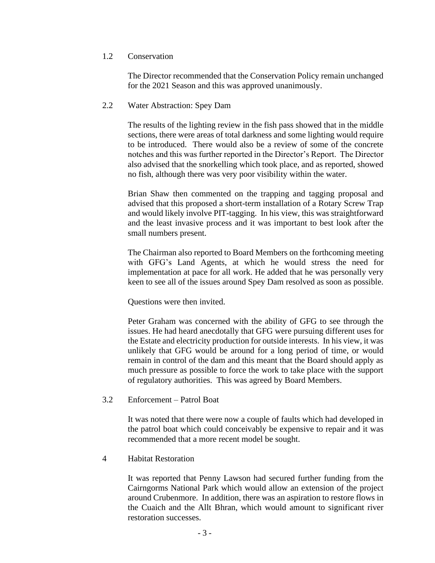#### 1.2 Conservation

The Director recommended that the Conservation Policy remain unchanged for the 2021 Season and this was approved unanimously.

### 2.2 Water Abstraction: Spey Dam

The results of the lighting review in the fish pass showed that in the middle sections, there were areas of total darkness and some lighting would require to be introduced. There would also be a review of some of the concrete notches and this was further reported in the Director's Report. The Director also advised that the snorkelling which took place, and as reported, showed no fish, although there was very poor visibility within the water.

Brian Shaw then commented on the trapping and tagging proposal and advised that this proposed a short-term installation of a Rotary Screw Trap and would likely involve PIT-tagging. In his view, this was straightforward and the least invasive process and it was important to best look after the small numbers present.

The Chairman also reported to Board Members on the forthcoming meeting with GFG's Land Agents, at which he would stress the need for implementation at pace for all work. He added that he was personally very keen to see all of the issues around Spey Dam resolved as soon as possible.

Questions were then invited.

Peter Graham was concerned with the ability of GFG to see through the issues. He had heard anecdotally that GFG were pursuing different uses for the Estate and electricity production for outside interests. In his view, it was unlikely that GFG would be around for a long period of time, or would remain in control of the dam and this meant that the Board should apply as much pressure as possible to force the work to take place with the support of regulatory authorities. This was agreed by Board Members.

#### 3.2 Enforcement – Patrol Boat

It was noted that there were now a couple of faults which had developed in the patrol boat which could conceivably be expensive to repair and it was recommended that a more recent model be sought.

#### 4 Habitat Restoration

It was reported that Penny Lawson had secured further funding from the Cairngorms National Park which would allow an extension of the project around Crubenmore. In addition, there was an aspiration to restore flows in the Cuaich and the Allt Bhran, which would amount to significant river restoration successes.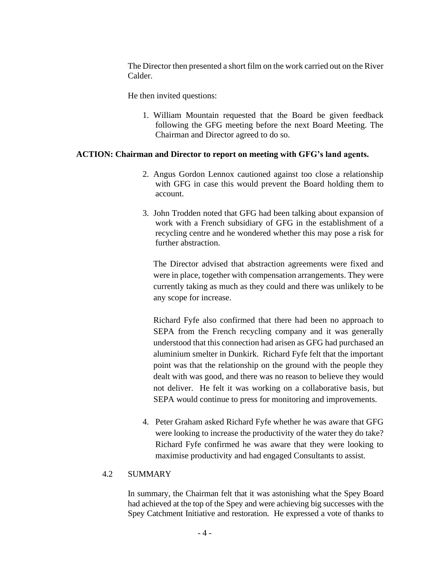The Director then presented a short film on the work carried out on the River Calder.

He then invited questions:

1. William Mountain requested that the Board be given feedback following the GFG meeting before the next Board Meeting. The Chairman and Director agreed to do so.

## **ACTION: Chairman and Director to report on meeting with GFG's land agents.**

- 2. Angus Gordon Lennox cautioned against too close a relationship with GFG in case this would prevent the Board holding them to account.
- 3. John Trodden noted that GFG had been talking about expansion of work with a French subsidiary of GFG in the establishment of a recycling centre and he wondered whether this may pose a risk for further abstraction.

The Director advised that abstraction agreements were fixed and were in place, together with compensation arrangements. They were currently taking as much as they could and there was unlikely to be any scope for increase.

Richard Fyfe also confirmed that there had been no approach to SEPA from the French recycling company and it was generally understood that this connection had arisen as GFG had purchased an aluminium smelter in Dunkirk. Richard Fyfe felt that the important point was that the relationship on the ground with the people they dealt with was good, and there was no reason to believe they would not deliver. He felt it was working on a collaborative basis, but SEPA would continue to press for monitoring and improvements.

4. Peter Graham asked Richard Fyfe whether he was aware that GFG were looking to increase the productivity of the water they do take? Richard Fyfe confirmed he was aware that they were looking to maximise productivity and had engaged Consultants to assist.

#### 4.2 SUMMARY

In summary, the Chairman felt that it was astonishing what the Spey Board had achieved at the top of the Spey and were achieving big successes with the Spey Catchment Initiative and restoration. He expressed a vote of thanks to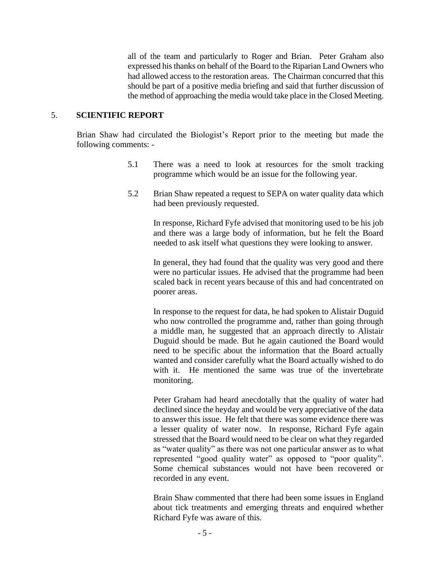all of the team and particularly to Roger and Brian. Peter Graham also expressed his thanks on behalf of the Board to the Riparian Land Owners who had allowed access to the restoration areas. The Chairman concurred that this should be part of a positive media briefing and said that further discussion of the method of approaching the media would take place in the Closed Meeting.

#### 5. **SCIENTIFIC REPORT**

Brian Shaw had circulated the Biologist's Report prior to the meeting but made the following comments: -

- 5.1 There was a need to look at resources for the smolt tracking programme which would be an issue for the following year.
- 5.2 Brian Shaw repeated a request to SEPA on water quality data which had been previously requested.

In response, Richard Fyfe advised that monitoring used to be his job and there was a large body of information, but he felt the Board needed to ask itself what questions they were looking to answer.

In general, they had found that the quality was very good and there were no particular issues. He advised that the programme had been scaled back in recent years because of this and had concentrated on poorer areas.

In response to the request for data, he had spoken to Alistair Duguid who now controlled the programme and, rather than going through a middle man, he suggested that an approach directly to Alistair Duguid should be made. But he again cautioned the Board would need to be specific about the information that the Board actually wanted and consider carefully what the Board actually wished to do with it. He mentioned the same was true of the invertebrate monitoring.

Peter Graham had heard anecdotally that the quality of water had declined since the heyday and would be very appreciative of the data to answer this issue. He felt that there was some evidence there was a lesser quality of water now. In response, Richard Fyfe again stressed that the Board would need to be clear on what they regarded as "water quality" as there was not one particular answer as to what represented "good quality water" as opposed to "poor quality". Some chemical substances would not have been recovered or recorded in any event.

Brain Shaw commented that there had been some issues in England about tick treatments and emerging threats and enquired whether Richard Fyfe was aware of this.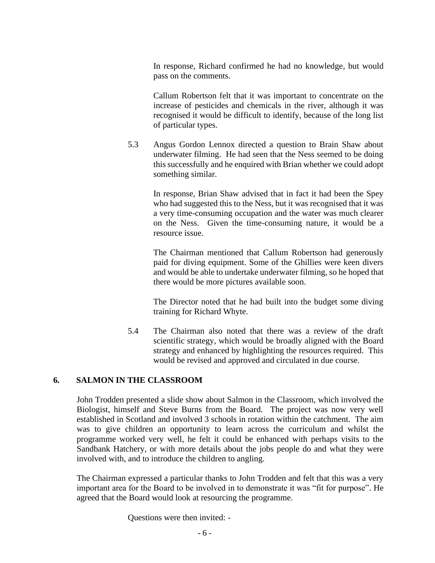In response, Richard confirmed he had no knowledge, but would pass on the comments.

Callum Robertson felt that it was important to concentrate on the increase of pesticides and chemicals in the river, although it was recognised it would be difficult to identify, because of the long list of particular types.

5.3 Angus Gordon Lennox directed a question to Brain Shaw about underwater filming. He had seen that the Ness seemed to be doing this successfully and he enquired with Brian whether we could adopt something similar.

> In response, Brian Shaw advised that in fact it had been the Spey who had suggested this to the Ness, but it was recognised that it was a very time-consuming occupation and the water was much clearer on the Ness. Given the time-consuming nature, it would be a resource issue.

> The Chairman mentioned that Callum Robertson had generously paid for diving equipment. Some of the Ghillies were keen divers and would be able to undertake underwater filming, so he hoped that there would be more pictures available soon.

> The Director noted that he had built into the budget some diving training for Richard Whyte.

5.4 The Chairman also noted that there was a review of the draft scientific strategy, which would be broadly aligned with the Board strategy and enhanced by highlighting the resources required. This would be revised and approved and circulated in due course.

#### **6. SALMON IN THE CLASSROOM**

John Trodden presented a slide show about Salmon in the Classroom, which involved the Biologist, himself and Steve Burns from the Board. The project was now very well established in Scotland and involved 3 schools in rotation within the catchment. The aim was to give children an opportunity to learn across the curriculum and whilst the programme worked very well, he felt it could be enhanced with perhaps visits to the Sandbank Hatchery, or with more details about the jobs people do and what they were involved with, and to introduce the children to angling.

The Chairman expressed a particular thanks to John Trodden and felt that this was a very important area for the Board to be involved in to demonstrate it was "fit for purpose". He agreed that the Board would look at resourcing the programme.

Questions were then invited: -